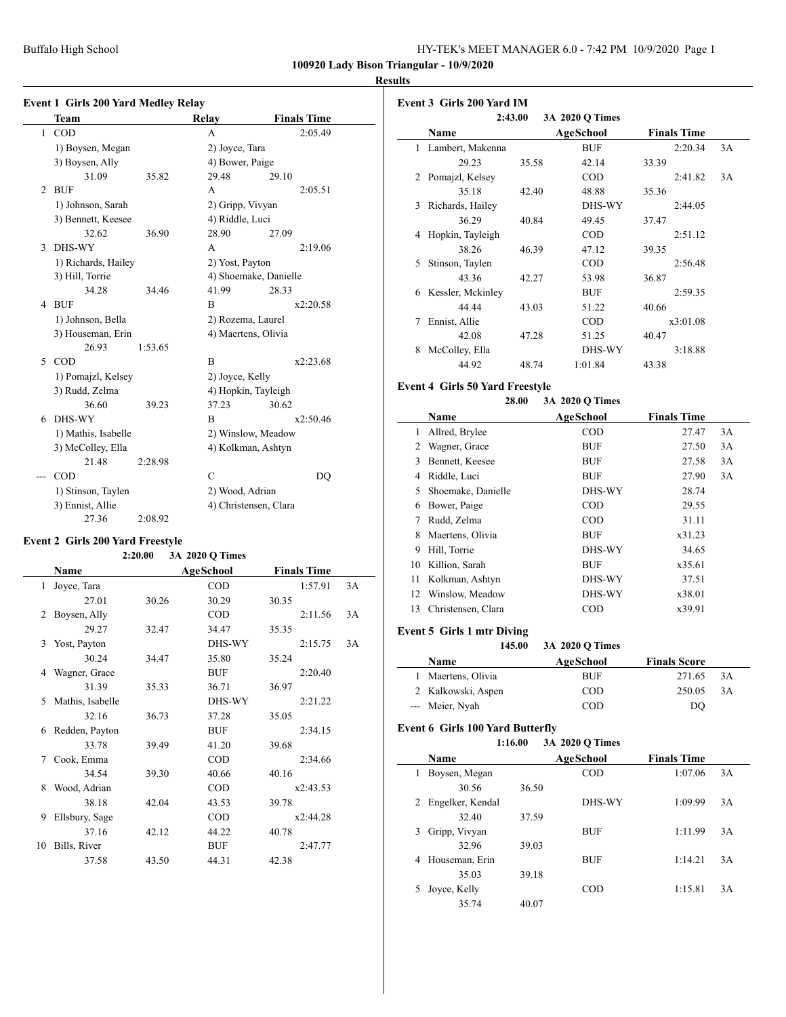#### **100920 Lady Bison Triangular - 10/9/2020**

# **Results**

 $\overline{a}$ 

|   | <b>Event 1 Girls 200 Yard Medley Relay</b><br>Team |         | Relay             | <b>Finals Time</b>    |
|---|----------------------------------------------------|---------|-------------------|-----------------------|
| 1 | COD                                                |         | A                 | 2:05.49               |
|   | 1) Boysen, Megan                                   |         | 2) Joyce, Tara    |                       |
|   | 3) Boysen, Ally                                    |         | 4) Bower, Paige   |                       |
|   | 31.09                                              | 35.82   | 29.48             | 29.10                 |
| 2 | <b>BUF</b>                                         |         | A                 | 2:05.51               |
|   | 1) Johnson, Sarah                                  |         | 2) Gripp, Vivyan  |                       |
|   | 3) Bennett, Keesee                                 |         | 4) Riddle, Luci   |                       |
|   | 32.62                                              | 36.90   | 28.90             | 27.09                 |
| 3 | DHS-WY                                             |         | A                 | 2:19.06               |
|   | 1) Richards, Hailey                                |         | 2) Yost, Payton   |                       |
|   | 3) Hill, Torrie                                    |         |                   | 4) Shoemake, Danielle |
|   | 34.28                                              | 34.46   | 41.99             | 28.33                 |
| 4 | <b>BUF</b>                                         |         | B                 | x2:20.58              |
|   | 1) Johnson, Bella                                  |         | 2) Rozema, Laurel |                       |
|   | 3) Houseman, Erin                                  |         |                   | 4) Maertens, Olivia   |
|   | 26.93                                              | 1:53.65 |                   |                       |
| 5 | COD                                                |         | $\overline{B}$    | x2:23.68              |
|   | 1) Pomajzl, Kelsey                                 |         | 2) Joyce, Kelly   |                       |
|   | 3) Rudd, Zelma                                     |         |                   | 4) Hopkin, Tayleigh   |
|   | 36.60                                              | 39.23   | 37.23             | 30.62                 |
| 6 | DHS-WY                                             |         | B                 | x2:50.46              |
|   | 1) Mathis, Isabelle                                |         |                   | 2) Winslow, Meadow    |
|   | 3) McColley, Ella                                  |         |                   | 4) Kolkman, Ashtyn    |
|   | 21.48                                              | 2:28.98 |                   |                       |
|   | COD                                                |         | $\overline{C}$    | D <sub>O</sub>        |
|   | 1) Stinson, Taylen                                 |         | 2) Wood, Adrian   |                       |
|   | 3) Ennist, Allie                                   |         |                   | 4) Christensen, Clara |
|   | 27.36                                              | 2:08.92 |                   |                       |

#### **Event 2 Girls 200 Yard Freestyle**

#### **2:20.00 3A 2020 Q Times**

|    | Name             |       | <b>AgeSchool</b> | <b>Finals Time</b> |    |
|----|------------------|-------|------------------|--------------------|----|
| 1  | Joyce, Tara      |       | <b>COD</b>       | 1:57.91            | 3A |
|    | 27.01            | 30.26 | 30.29            | 30.35              |    |
| 2  | Boysen, Ally     |       | <b>COD</b>       | 2:11.56            | 3A |
|    | 29.27            | 32.47 | 34.47            | 35.35              |    |
| 3  | Yost, Payton     |       | DHS-WY           | 2:15.75            | 3A |
|    | 30.24            | 34.47 | 35.80            | 35.24              |    |
| 4  | Wagner, Grace    |       | <b>BUF</b>       | 2:20.40            |    |
|    | 31.39            | 35.33 | 36.71            | 36.97              |    |
| 5  | Mathis, Isabelle |       | DHS-WY           | 2:21.22            |    |
|    | 32.16            | 36.73 | 37.28            | 35.05              |    |
| 6  | Redden, Payton   |       | <b>BUF</b>       | 2:34.15            |    |
|    | 33.78            | 39.49 | 41.20            | 39.68              |    |
| 7  | Cook, Emma       |       | <b>COD</b>       | 2:34.66            |    |
|    | 34.54            | 39.30 | 40.66            | 40.16              |    |
| 8  | Wood, Adrian     |       | <b>COD</b>       | x2:43.53           |    |
|    | 38.18            | 42.04 | 43.53            | 39.78              |    |
| 9  | Ellsbury, Sage   |       | <b>COD</b>       | x2:44.28           |    |
|    | 37.16            | 42.12 | 44.22            | 40.78              |    |
| 10 | Bills, River     |       | <b>BUF</b>       | 2:47.77            |    |
|    | 37.58            | 43.50 | 44.31            | 42.38              |    |

| <b>Event 3 Girls 200 Yard IM</b> |                            |       |            |                    |    |  |  |
|----------------------------------|----------------------------|-------|------------|--------------------|----|--|--|
|                                  | 2:43.00<br>3A 2020 Q Times |       |            |                    |    |  |  |
|                                  | Name                       |       | AgeSchool  | <b>Finals Time</b> |    |  |  |
|                                  | 1 Lambert, Makenna         |       | <b>BUF</b> | 2:20.34            | 3A |  |  |
|                                  | 29.23                      | 35.58 | 42.14      | 33.39              |    |  |  |
|                                  | 2 Pomajzl, Kelsey          |       | $\rm{COD}$ | 2:41.82            | 3A |  |  |
|                                  | 35.18                      | 42.40 | 48.88      | 35.36              |    |  |  |
| 3                                | Richards, Hailey           |       | DHS-WY     | 2:44.05            |    |  |  |
|                                  | 36.29                      | 40.84 | 49.45      | 37.47              |    |  |  |
| 4                                | Hopkin, Tayleigh           |       | $\rm{COD}$ | 2:51.12            |    |  |  |
|                                  | 38.26                      | 46.39 | 47.12      | 39.35              |    |  |  |
| 5.                               | Stinson, Taylen            |       | $\rm{COD}$ | 2:56.48            |    |  |  |
|                                  | 43.36                      | 42.27 | 53.98      | 36.87              |    |  |  |
| 6                                | Kessler, Mckinley          |       | <b>BUF</b> | 2:59.35            |    |  |  |
|                                  | 44.44                      | 43.03 | 51.22      | 40.66              |    |  |  |
| 7                                | Ennist, Allie              |       | $\rm{COD}$ | x3:01.08           |    |  |  |
|                                  | 42.08                      | 47.28 | 51.25      | 40.47              |    |  |  |
| 8                                | McColley, Ella             |       | DHS-WY     | 3:18.88            |    |  |  |
|                                  | 44.92                      | 48.74 | 1:01.84    | 43.38              |    |  |  |

#### **Event 4 Girls 50 Yard Freestyle**

|    | 28.00              | 3A 2020 O Times |                    |    |
|----|--------------------|-----------------|--------------------|----|
|    | Name               | AgeSchool       | <b>Finals Time</b> |    |
| 1  | Allred, Brylee     | $\rm{COD}$      | 27.47              | 3A |
| 2  | Wagner, Grace      | <b>BUF</b>      | 27.50              | 3A |
| 3  | Bennett, Keesee    | <b>BUF</b>      | 27.58              | 3A |
| 4  | Riddle, Luci       | <b>BUF</b>      | 27.90              | 3A |
| 5  | Shoemake, Danielle | DHS-WY          | 28.74              |    |
| 6  | Bower, Paige       | <b>COD</b>      | 29.55              |    |
| 7  | Rudd, Zelma        | $\rm{COD}$      | 31.11              |    |
| 8  | Maertens, Olivia   | <b>BUF</b>      | x31.23             |    |
| 9  | Hill, Torrie       | DHS-WY          | 34.65              |    |
| 10 | Killion, Sarah     | <b>BUF</b>      | x35.61             |    |
| 11 | Kolkman, Ashtyn    | DHS-WY          | 37.51              |    |
| 12 | Winslow, Meadow    | DHS-WY          | x38.01             |    |
| 13 | Christensen, Clara | $\rm{COD}$      | x39.91             |    |

# **Event 5 Girls 1 mtr Diving**<br>145.00

 $\overline{\phantom{0}}$ 

| усис этопиз тапит влуше |                 |                     |    |  |
|-------------------------|-----------------|---------------------|----|--|
| 145.00                  | 3A 2020 O Times |                     |    |  |
| <b>Name</b>             | AgeSchool       | <b>Finals Score</b> |    |  |
| Maertens, Olivia        | <b>BUF</b>      | 271.65              | 3A |  |
| 2 Kalkowski, Aspen      | <b>COD</b>      | 250.05              | 3A |  |
| --- Meier, Nyah         | <b>COD</b>      | DO                  |    |  |
|                         |                 |                     |    |  |

# **Event 6 Girls 100 Yard Butterfly**

| 3A 2020 O Times<br>1:16.00 |                  |       |            |                    |    |
|----------------------------|------------------|-------|------------|--------------------|----|
|                            | Name             |       | AgeSchool  | <b>Finals Time</b> |    |
|                            | Boysen, Megan    |       | $\rm{COD}$ | 1:07.06            | 3A |
|                            | 30.56            | 36.50 |            |                    |    |
| 2                          | Engelker, Kendal |       | DHS-WY     | 1:09.99            | 3A |
|                            | 32.40            | 37.59 |            |                    |    |
| 3                          | Gripp, Vivyan    |       | <b>BUF</b> | 1:11.99            | 3A |
|                            | 32.96            | 39.03 |            |                    |    |
| 4                          | Houseman, Erin   |       | <b>BUF</b> | 1:14.21            | 3A |
|                            | 35.03            | 39.18 |            |                    |    |
| 5                          | Joyce, Kelly     |       | COD        | 1:15.81            | 3A |
|                            | 35.74            | 40.07 |            |                    |    |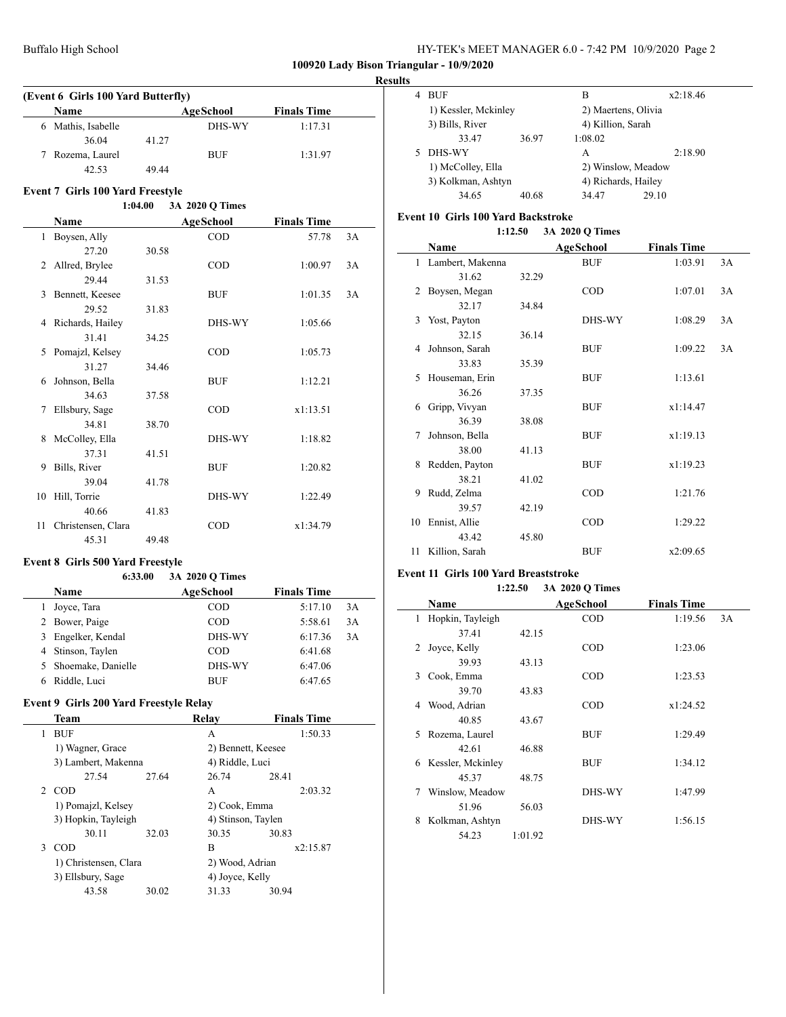|  |  | HY-TEK's MEET MANAGER 6.0 - 7:42 PM 10/9/2020 Page 2 |  |  |
|--|--|------------------------------------------------------|--|--|
|--|--|------------------------------------------------------|--|--|

**100920 Lady Bison Triangular - 10/9/2020**

#### **Results**

| (Event 6 Girls 100 Yard Butterfly) |                    |       |            |                    |
|------------------------------------|--------------------|-------|------------|--------------------|
|                                    | Name               |       | AgeSchool  | <b>Finals Time</b> |
|                                    | 6 Mathis, Isabelle |       | DHS-WY     | 1:17.31            |
|                                    | 36.04              | 41.27 |            |                    |
|                                    | Rozema, Laurel     |       | <b>BUF</b> | 1:31.97            |
|                                    | 42.53              | 49 44 |            |                    |
|                                    |                    |       |            |                    |

### **Event 7 Girls 100 Yard Freestyle**

# **1:04.00 3A 2020 Q Times**

|               | Name               |       | AgeSchool  | <b>Finals Time</b> |    |
|---------------|--------------------|-------|------------|--------------------|----|
| $\mathbf{1}$  | Boysen, Ally       |       | COD        | 57.78              | 3A |
|               | 27.20              | 30.58 |            |                    |    |
| $\mathcal{L}$ | Allred, Brylee     |       | <b>COD</b> | 1:00.97            | 3A |
|               | 29.44              | 31.53 |            |                    |    |
| 3             | Bennett, Keesee    |       | <b>BUF</b> | 1:01.35            | 3A |
|               | 29.52              | 31.83 |            |                    |    |
| 4             | Richards, Hailey   |       | DHS-WY     | 1:05.66            |    |
|               | 31.41              | 34.25 |            |                    |    |
| 5             | Pomajzl, Kelsey    |       | <b>COD</b> | 1:05.73            |    |
|               | 31.27              | 34.46 |            |                    |    |
| 6             | Johnson, Bella     |       | <b>BUF</b> | 1:12.21            |    |
|               | 34.63              | 37.58 |            |                    |    |
| 7             | Ellsbury, Sage     |       | $\rm{COD}$ | x1:13.51           |    |
|               | 34.81              | 38.70 |            |                    |    |
| 8             | McColley, Ella     |       | DHS-WY     | 1:18.82            |    |
|               | 37.31              | 41.51 |            |                    |    |
| 9             | Bills, River       |       | <b>BUF</b> | 1:20.82            |    |
|               | 39.04              | 41.78 |            |                    |    |
| 10            | Hill, Torrie       |       | DHS-WY     | 1:22.49            |    |
|               | 40.66              | 41.83 |            |                    |    |
| 11            | Christensen, Clara |       | $\rm{COD}$ | x1:34.79           |    |
|               | 45.31              | 49.48 |            |                    |    |

#### **Event 8 Girls 500 Yard Freestyle**

|   | 6:33.00              | 3A 2020 O Times |                    |    |
|---|----------------------|-----------------|--------------------|----|
|   | <b>Name</b>          | AgeSchool       | <b>Finals Time</b> |    |
|   | Joyce, Tara          | $\rm{COD}$      | 5:17.10            | 3A |
|   | 2 Bower, Paige       | <b>COD</b>      | 5:58.61            | 3A |
| 3 | Engelker, Kendal     | DHS-WY          | 6:17.36            | 3A |
|   | 4 Stinson, Taylen    | <b>COD</b>      | 6:41.68            |    |
|   | 5 Shoemake, Danielle | DHS-WY          | 6:47.06            |    |
| 6 | Riddle, Luci         | <b>BUF</b>      | 6:47.65            |    |

#### **Event 9 Girls 200 Yard Freestyle Relay**

|   | Team                                       |       | Relav              | <b>Finals Time</b> |  |
|---|--------------------------------------------|-------|--------------------|--------------------|--|
| 1 | <b>BUF</b>                                 |       | А                  | 1:50.33            |  |
|   | 1) Wagner, Grace                           |       | 2) Bennett, Keesee |                    |  |
|   | 3) Lambert, Makenna                        |       | 4) Riddle, Luci    |                    |  |
|   | 27.54                                      | 27.64 | 26.74              | 28.41              |  |
| 2 | <b>COD</b>                                 |       | A                  | 2:03.32            |  |
|   | 1) Pomajzl, Kelsey                         |       | 2) Cook, Emma      |                    |  |
|   | 3) Hopkin, Tayleigh                        |       | 4) Stinson, Taylen |                    |  |
|   | 30.11                                      | 32.03 | 30.35              | 30.83              |  |
| 3 | <b>COD</b>                                 |       | B                  | x2:15.87           |  |
|   | 1) Christensen, Clara<br>3) Ellsbury, Sage |       | 2) Wood, Adrian    |                    |  |
|   |                                            |       | 4) Joyce, Kelly    |                    |  |
|   | 43.58                                      | 30.02 | 31.33              | 30.94              |  |
|   |                                            |       |                    |                    |  |

| <b>BUF</b>           |       | в                   | x2:18.46 |  |
|----------------------|-------|---------------------|----------|--|
| 1) Kessler, Mckinley |       | 2) Maertens, Olivia |          |  |
| 3) Bills, River      |       | 4) Killion, Sarah   |          |  |
| 33.47                | 36.97 | 1:08.02             |          |  |
| DHS-WY               |       | A                   | 2:18.90  |  |
| 1) McColley, Ella    |       | 2) Winslow, Meadow  |          |  |
| 3) Kolkman, Ashtyn   |       | 4) Richards, Hailey |          |  |
| 34.65                | 40.68 | 34.47               | 29.10    |  |
|                      |       |                     |          |  |

#### **Event 10 Girls 100 Yard Backstroke**

|    | 1:12.50            |       | 3A 2020 Q Times  |                    |    |
|----|--------------------|-------|------------------|--------------------|----|
|    | Name               |       | <b>AgeSchool</b> | <b>Finals Time</b> |    |
|    | 1 Lambert, Makenna |       | <b>BUF</b>       | 1:03.91            | 3A |
|    | 31.62              | 32.29 |                  |                    |    |
|    | 2 Boysen, Megan    |       | $\rm COD$        | 1:07.01            | 3A |
|    | 32.17              | 34.84 |                  |                    |    |
| 3  | Yost, Payton       |       | DHS-WY           | 1:08.29            | 3A |
|    | 32.15              | 36.14 |                  |                    |    |
| 4  | Johnson, Sarah     |       | <b>BUF</b>       | 1:09.22            | 3A |
|    | 33.83              | 35.39 |                  |                    |    |
| 5. | Houseman, Erin     |       | <b>BUF</b>       | 1:13.61            |    |
|    | 36.26              | 37.35 |                  |                    |    |
| 6  | Gripp, Vivyan      |       | <b>BUF</b>       | x1:14.47           |    |
|    | 36.39              | 38.08 |                  |                    |    |
| 7  | Johnson, Bella     |       | <b>BUF</b>       | x1:19.13           |    |
|    | 38.00              | 41.13 |                  |                    |    |
| 8  | Redden, Payton     |       | <b>BUF</b>       | x1:19.23           |    |
|    | 38.21              | 41.02 |                  |                    |    |
| 9  | Rudd, Zelma        |       | <b>COD</b>       | 1:21.76            |    |
|    | 39.57              | 42.19 |                  |                    |    |
|    | 10 Ennist, Allie   |       | $\rm{COD}$       | 1:29.22            |    |
|    | 43.42              | 45.80 |                  |                    |    |
| 11 | Killion, Sarah     |       | <b>BUF</b>       | x2:09.65           |    |

## **Event 11 Girls 100 Yard Breaststroke**

 $\frac{1}{2}$ 

|   | Name              |         | AgeSchool  | <b>Finals Time</b> |    |
|---|-------------------|---------|------------|--------------------|----|
| 1 | Hopkin, Tayleigh  |         | COD        | 1:19.56            | 3A |
|   | 37.41             | 42.15   |            |                    |    |
| 2 | Joyce, Kelly      |         | $\rm{COD}$ | 1:23.06            |    |
|   | 39.93             | 43.13   |            |                    |    |
| 3 | Cook, Emma        |         | $\rm{COD}$ | 1:23.53            |    |
|   | 39.70             | 43.83   |            |                    |    |
| 4 | Wood, Adrian      |         | <b>COD</b> | x1:24.52           |    |
|   | 40.85             | 43.67   |            |                    |    |
| 5 | Rozema, Laurel    |         | <b>BUF</b> | 1:29.49            |    |
|   | 42.61             | 46.88   |            |                    |    |
| 6 | Kessler, Mckinley |         | <b>BUF</b> | 1:34.12            |    |
|   | 45.37             | 48.75   |            |                    |    |
| 7 | Winslow, Meadow   |         | DHS-WY     | 1:47.99            |    |
|   | 51.96             | 56.03   |            |                    |    |
| 8 | Kolkman, Ashtyn   |         | DHS-WY     | 1:56.15            |    |
|   | 54.23             | 1:01.92 |            |                    |    |